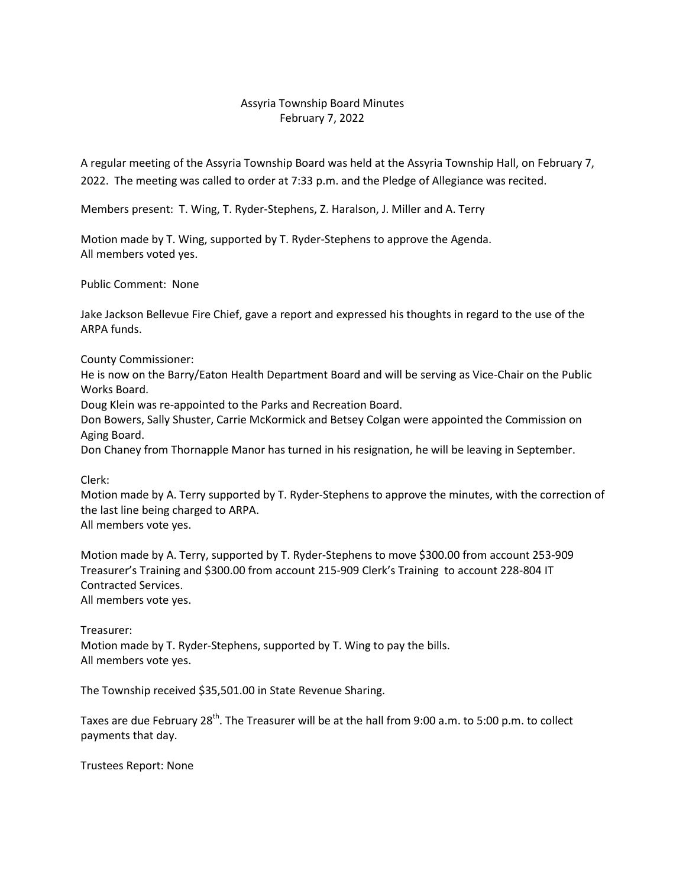## Assyria Township Board Minutes February 7, 2022

A regular meeting of the Assyria Township Board was held at the Assyria Township Hall, on February 7, 2022. The meeting was called to order at 7:33 p.m. and the Pledge of Allegiance was recited.

Members present: T. Wing, T. Ryder-Stephens, Z. Haralson, J. Miller and A. Terry

Motion made by T. Wing, supported by T. Ryder-Stephens to approve the Agenda. All members voted yes.

Public Comment: None

Jake Jackson Bellevue Fire Chief, gave a report and expressed his thoughts in regard to the use of the ARPA funds.

County Commissioner:

He is now on the Barry/Eaton Health Department Board and will be serving as Vice-Chair on the Public Works Board.

Doug Klein was re-appointed to the Parks and Recreation Board.

Don Bowers, Sally Shuster, Carrie McKormick and Betsey Colgan were appointed the Commission on Aging Board.

Don Chaney from Thornapple Manor has turned in his resignation, he will be leaving in September.

Clerk:

Motion made by A. Terry supported by T. Ryder-Stephens to approve the minutes, with the correction of the last line being charged to ARPA.

All members vote yes.

Motion made by A. Terry, supported by T. Ryder-Stephens to move \$300.00 from account 253-909 Treasurer's Training and \$300.00 from account 215-909 Clerk's Training to account 228-804 IT Contracted Services. All members vote yes.

Treasurer:

Motion made by T. Ryder-Stephens, supported by T. Wing to pay the bills. All members vote yes.

The Township received \$35,501.00 in State Revenue Sharing.

Taxes are due February 28<sup>th</sup>. The Treasurer will be at the hall from 9:00 a.m. to 5:00 p.m. to collect payments that day.

Trustees Report: None